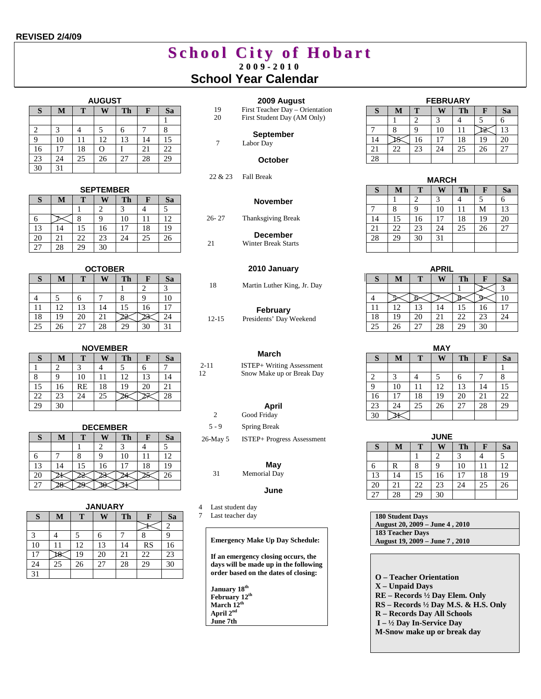## **REVISED 2/4/09**

# **S c h o o l C i t y o f H o b a r t 2 0 0 9 - 2 0 1 0 School Year Calendar**

## **AUGUST S M T W Th F Sa**  1 1 1 1 1 1 2 3 4 5 6 7 8 9 10 11 12 13 14 15 16 | 17 | 18 | O | I | 21 | 22 23 24 25 26 27 28 29 30 31

### **SEPTEMBER**

|    | JLF I LIVIDLIN |    |    |    |    |    |  |  |
|----|----------------|----|----|----|----|----|--|--|
| S  | M              | Т  | W  | Th | F  | Sa |  |  |
|    |                |    |    |    |    |    |  |  |
| 6  |                | 8  |    | 10 | 11 | 12 |  |  |
| 13 | 14             | 15 | 16 | 17 | 18 | 19 |  |  |
| 20 | 21             | 22 | 23 | 24 | 25 | 26 |  |  |
| 27 | 28             | 29 | 30 |    |    |    |  |  |

|    |    |    | <b>OCTOBER</b> |    |    |    |
|----|----|----|----------------|----|----|----|
| S  | М  |    |                | Th | F  | Sa |
|    |    |    |                |    |    |    |
|    |    |    |                |    |    | 10 |
| 11 | 12 | 13 | 14             | 15 | 16 |    |
| 18 | 19 | 20 | 21             |    |    | 24 |
| 25 | 26 | 27 | 28             | 29 | 30 | 31 |

|    |    |           | <b>NOVEMBER</b> |    |    |    |
|----|----|-----------|-----------------|----|----|----|
| S  | М  | т         |                 | Th | F  | Sa |
|    |    |           |                 |    |    |    |
|    | q  | 10        | 11              | 12 | 13 | 14 |
| 15 | 16 | <b>RE</b> | 18              | 19 | 20 | 21 |
| 22 | 23 | 24        | 25              |    |    | 28 |
| 29 | 30 |           |                 |    |    |    |

|    |    |    | <b>DECEMBER</b> |    |    |    |
|----|----|----|-----------------|----|----|----|
| S  | M  |    |                 | Th | F  | Sa |
|    |    |    |                 |    |    |    |
| 6  |    |    |                 | 10 | 11 | 12 |
| 13 | 14 | 15 | 16              |    | 18 | 19 |
| 20 |    |    |                 |    |    | 26 |
| Τ. |    |    |                 |    |    |    |

|    |    |    | <b>JANUARY</b> |    |           |    |
|----|----|----|----------------|----|-----------|----|
| S  | M  | Т  |                | Th | F         | Sa |
|    |    |    |                |    |           | 2  |
| 3  |    | 5  |                |    |           | 9  |
| 10 |    | 12 | 13             | 14 | <b>RS</b> | 16 |
| 17 |    | 19 | 20             | 21 | 22        | 23 |
| 24 | 25 | 26 | 27             | 28 | 29        | 30 |
| 31 |    |    |                |    |           |    |

| 19<br>20       | 2009 August<br>First Teacher Day - Orientation<br>First Student Day (AM Only) |
|----------------|-------------------------------------------------------------------------------|
| 7              | <b>September</b><br>Labor Day                                                 |
|                | October                                                                       |
| 22 & 23        | <b>Fall Break</b>                                                             |
|                | November                                                                      |
| 26-27          | Thanksgiving Break                                                            |
| 21             | <b>December</b><br><b>Winter Break Starts</b>                                 |
|                | 2010 January                                                                  |
| 18             | Martin Luther King, Jr. Day                                                   |
| $12 - 15$      | <b>February</b><br>Presidents' Day Weekend                                    |
| $2 - 11$<br>12 | March<br>ISTEP+ Writing Assessment<br>Snow Make up or Break Day               |
| 2              | April<br>Good Friday                                                          |
| $5 - 9$        | <b>Spring Break</b>                                                           |
| 26-May 5       | ISTEP+ Progress Assessment                                                    |
| 31             | May<br><b>Memorial Day</b>                                                    |
|                | June                                                                          |
|                |                                                                               |

4 Last student day<br>7 Last teacher day

Last teacher day

#### **Emergency Make Up Day Schedule:**

**If an emergency closing occurs, the days will be made up in the following order based on the dates of closing:** 

**January 18th February 12th March 12th April 2nd June 7th**

## **FEBRUARY**

| S  | M  | т  | W  | Th | F  | Sa |
|----|----|----|----|----|----|----|
|    |    |    |    |    |    | 6  |
|    |    | 9  | 10 |    |    | 13 |
| 14 |    | 16 | 17 | 18 | 19 | 20 |
| 21 | 22 | 23 | 24 | 25 | 26 | 27 |
| 28 |    |    |    |    |    |    |

|    |    |    | <b>MARCH</b> |    |    |    |
|----|----|----|--------------|----|----|----|
| S  | M  | T  | W            | Th | F  | Sa |
|    |    | 2  |              |    |    | б  |
|    | 8  | q  | 10           | 11 | М  | 13 |
| 14 | 15 | 16 | 17           | 18 | 19 | 20 |
| 21 | 22 | 23 | 24           | 25 | 26 | 27 |
| 28 | 29 | 30 | 31           |    |    |    |
|    |    |    |              |    |    |    |

|    |    |    | <b>APRIL</b> |           |    |    |
|----|----|----|--------------|-----------|----|----|
| S  | M  | т  |              | <b>Th</b> | F  | Sa |
|    |    |    |              |           |    |    |
|    |    |    |              |           |    | 10 |
| 11 | 12 | 13 | 14           | 15        | 16 | 17 |
| 18 | 19 | 20 | 21           | 22        | 23 | 24 |
| 25 | 26 | 27 | 28           | 29        | 30 |    |

|    |    |    | <b>MAY</b> |    |    |    |
|----|----|----|------------|----|----|----|
| S  | M  | Т  | w          | Th | F  | Sa |
|    |    |    |            |    |    |    |
| 2  | 3  |    | 5          | 6  |    | 8  |
| 9  | 10 | 11 | 12         | 13 | 14 | 15 |
| 16 | 17 | 18 | 19         | 20 | 21 | 22 |
| 23 | 24 | 25 | 26         | 27 | 28 | 29 |
| 30 |    |    |            |    |    |    |

|    |    |    | <b>JUNE</b> |    |    |    |
|----|----|----|-------------|----|----|----|
| S  | M  | т  | Ŵ           | Th | F  | Sa |
|    |    |    |             |    |    |    |
| 6  | R  |    |             | 10 |    | 12 |
| 13 | 14 | 15 | 16          | 17 | 18 | 19 |
| 20 | 21 | 22 | 23          | 24 | 25 | 26 |
| 27 | 28 | 29 | 30          |    |    |    |

| <b>180 Student Days</b>        |
|--------------------------------|
| August 20, 2009 – June 4, 2010 |
| <b>183 Teacher Days</b>        |
| August 19, 2009 – June 7, 2010 |

**O – Teacher Orientation X – Unpaid Days RE – Records ½ Day Elem. Only RS – Records ½ Day M.S. & H.S. Only R – Records Day All Schools I – ½ Day In-Service Day M-Snow make up or break day**